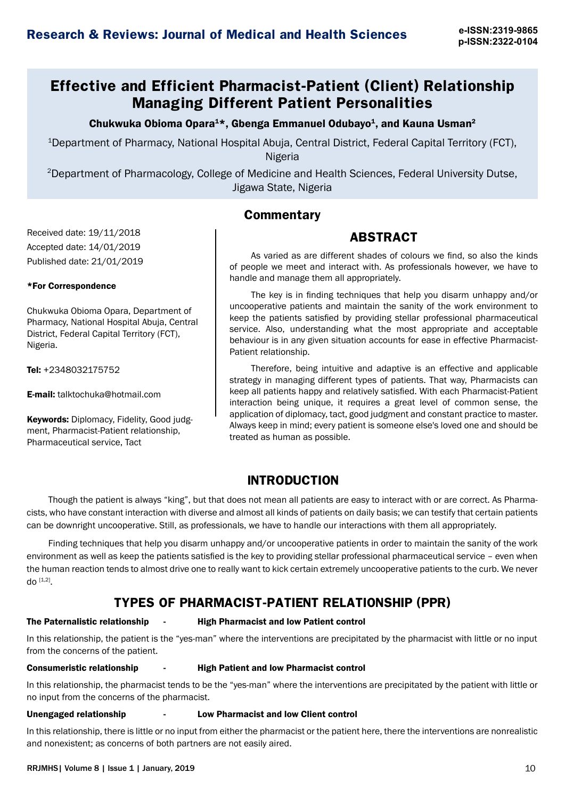# **Effective and Efficient Pharmacist-Patient (Client) Relationship Managing Different Patient Personalities**

Chukwuka Obioma Opara<sup>1\*</sup>, Gbenga Emmanuel Odubayo<sup>1</sup>, and Kauna Usman<sup>2</sup>

1Department of Pharmacy, National Hospital Abuja, Central District, Federal Capital Territory (FCT), Nigeria

2Department of Pharmacology, College of Medicine and Health Sciences, Federal University Dutse, Jigawa State, Nigeria

### **Commentary**

### **ABSTRACT**

As varied as are different shades of colours we find, so also the kinds of people we meet and interact with. As professionals however, we have to handle and manage them all appropriately.

The key is in finding techniques that help you disarm unhappy and/or uncooperative patients and maintain the sanity of the work environment to keep the patients satisfied by providing stellar professional pharmaceutical service. Also, understanding what the most appropriate and acceptable behaviour is in any given situation accounts for ease in effective Pharmacist-Patient relationship.

Therefore, being intuitive and adaptive is an effective and applicable strategy in managing different types of patients. That way, Pharmacists can keep all patients happy and relatively satisfied. With each Pharmacist-Patient interaction being unique, it requires a great level of common sense, the application of diplomacy, tact, good judgment and constant practice to master. Always keep in mind; every patient is someone else's loved one and should be treated as human as possible.

### **INTRODUCTION**

Though the patient is always "king", but that does not mean all patients are easy to interact with or are correct. As Pharmacists, who have constant interaction with diverse and almost all kinds of patients on daily basis; we can testify that certain patients can be downright uncooperative. Still, as professionals, we have to handle our interactions with them all appropriately.

Finding techniques that help you disarm unhappy and/or uncooperative patients in order to maintain the sanity of the work environment as well as keep the patients satisfied is the key to providing stellar professional pharmaceutical service – even when the human reaction tends to almost drive one to really want to kick certain extremely uncooperative patients to the curb. We never do  $[1,2]$ .

### **TYPES OF PHARMACIST-PATIENT RELATIONSHIP (PPR)**

Received date: 19/11/2018 Accepted date: 14/01/2019 Published date: 21/01/2019

Chukwuka Obioma Opara, Department of Pharmacy, National Hospital Abuja, Central District, Federal Capital Territory (FCT),

\*For Correspondence

Tel: +2348032175752

E-mail: talktochuka@hotmail.com

Pharmaceutical service, Tact

Keywords: Diplomacy, Fidelity, Good judgment, Pharmacist-Patient relationship,

Nigeria.

#### The Paternalistic relationship - High Pharmacist and low Patient control

In this relationship, the patient is the "yes-man" where the interventions are precipitated by the pharmacist with little or no input from the concerns of the patient.

#### Consumeristic relationship - High Patient and low Pharmacist control

In this relationship, the pharmacist tends to be the "yes-man" where the interventions are precipitated by the patient with little or no input from the concerns of the pharmacist.

#### Unengaged relationship - Low Pharmacist and low Client control

In this relationship, there is little or no input from either the pharmacist or the patient here, there the interventions are nonrealistic and nonexistent; as concerns of both partners are not easily aired.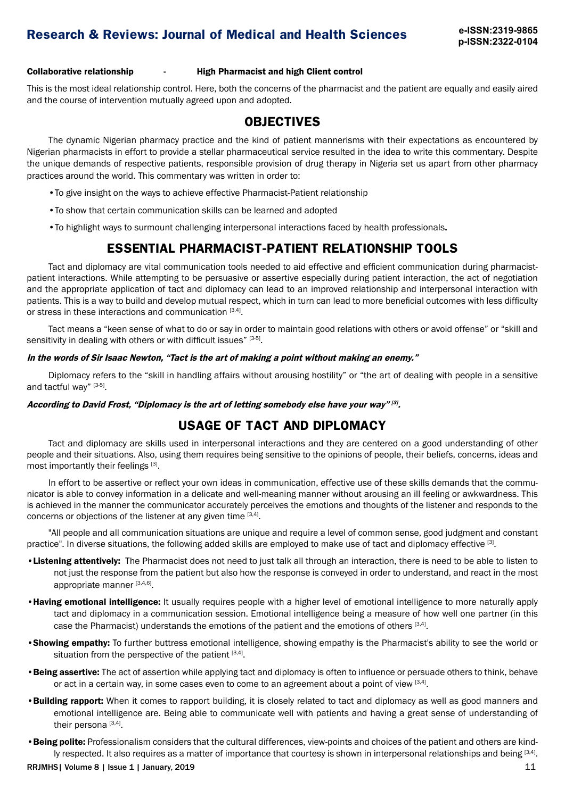Collaborative relationship - High Pharmacist and high Client control

This is the most ideal relationship control. Here, both the concerns of the pharmacist and the patient are equally and easily aired and the course of intervention mutually agreed upon and adopted.

### **OBJECTIVES**

The dynamic Nigerian pharmacy practice and the kind of patient mannerisms with their expectations as encountered by Nigerian pharmacists in effort to provide a stellar pharmaceutical service resulted in the idea to write this commentary. Despite the unique demands of respective patients, responsible provision of drug therapy in Nigeria set us apart from other pharmacy practices around the world. This commentary was written in order to:

- •To give insight on the ways to achieve effective Pharmacist-Patient relationship
- •To show that certain communication skills can be learned and adopted
- •To highlight ways to surmount challenging interpersonal interactions faced by health professionals.

### **ESSENTIAL PHARMACIST-PATIENT RELATIONSHIP TOOLS**

Tact and diplomacy are vital communication tools needed to aid effective and efficient communication during pharmacistpatient interactions. While attempting to be persuasive or assertive especially during patient interaction, the act of negotiation and the appropriate application of tact and diplomacy can lead to an improved relationship and interpersonal interaction with patients. This is a way to build and develop mutual respect, which in turn can lead to more beneficial outcomes with less difficulty or stress in these interactions and communication [3,4].

Tact means a ["keen](https://www.merriam-webster.com/dictionary/keen#h1) sense of what to do or say in order to maintain good relations with others or avoid offense" or "skill and sensitivity in dealing with others or with difficult issues" [3-5].

#### In the words of Sir Isaac Newton, "Tact is the art of making a point without making an enemy."

Diplomacy refers to the "skill in handling affairs without arousing [hostility](https://www.merriam-webster.com/dictionary/hostility)" or "the art of dealing with people in a sensitive and tactful way" [3-5].

According to David Frost, "Diplomacy is the art of letting somebody else have your way"  $[3]$ .

### **USAGE OF TACT AND DIPLOMACY**

Tact and diplomacy are skills used in interpersonal interactions and they are centered on a good understanding of other people and their situations. Also, using them requires being sensitive to the opinions of people, their beliefs, concerns, ideas and most importantly their feelings [3].

In effort to be assertive or reflect your own ideas in communication, effective use of these skills demands that the communicator is able to convey information in a delicate and well-meaning manner without arousing an ill feeling or awkwardness. This is achieved in the manner the communicator accurately perceives the emotions and thoughts of the listener and responds to the concerns or objections of the listener at any given time  $[3,4]$ .

"All people and all communication situations are unique and require a level of common sense, good judgment and constant practice". In diverse situations, the following added skills are employed to make use of tact and diplomacy effective [3].

- •Listening attentively: The Pharmacist does not need to just talk all through an interaction, there is need to be able to listen to not just the response from the patient but also how the response is conveyed in order to understand, and react in the most appropriate manner [3,4,6].
- Having emotional intelligence: It usually requires people with a higher level of emotional intelligence to more naturally apply tact and diplomacy in a communication session. Emotional intelligence being a measure of how well one partner (in this case the Pharmacist) understands the emotions of the patient and the emotions of others [3,4].
- Showing empathy: To further buttress emotional intelligence, showing empathy is the Pharmacist's ability to see the world or situation from the perspective of the patient  $[3,4]$ .
- Being assertive: The act of assertion while applying tact and diplomacy is often to influence or persuade others to think, behave or act in a certain way, in some cases even to come to an agreement about a point of view [3,4].
- Building rapport: When it comes to rapport building, it is closely related to tact and diplomacy as well as good manners and emotional intelligence are. Being able to communicate well with patients and having a great sense of understanding of their persona  $[3,4]$ .
- Being polite: Professionalism considers that the cultural differences, view-points and choices of the patient and others are kindly respected. It also requires as a matter of importance that courtesy is shown in interpersonal relationships and being [3,4].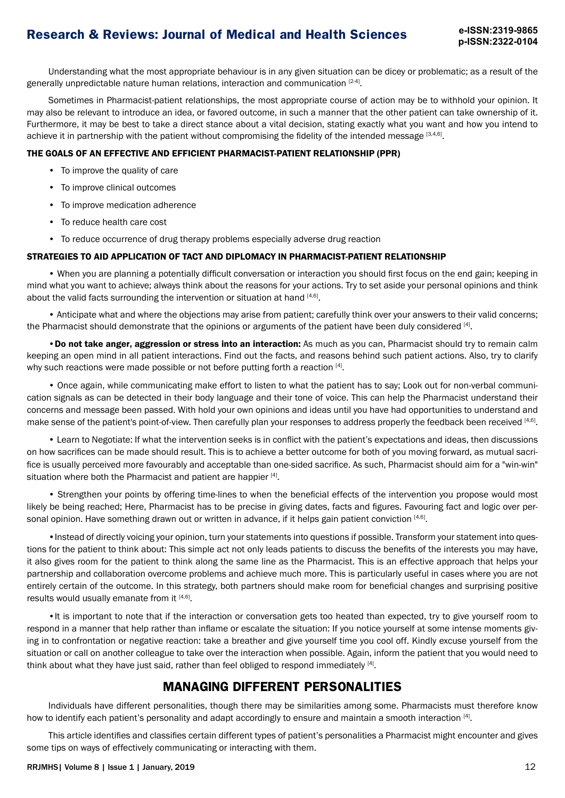# **Research & Reviews: Journal of Medical and Health Sciences e-ISSN:2319-9865**

Understanding what the most appropriate behaviour is in any given situation can be dicey or problematic; as a result of the generally unpredictable nature human relations, interaction and communication [2-4].

Sometimes in Pharmacist-patient relationships, the most appropriate course of action may be to withhold your opinion. It may also be relevant to introduce an idea, or favored outcome, in such a manner that the other patient can take ownership of it. Furthermore, it may be best to take a direct stance about a vital decision, stating exactly what you want and how you intend to achieve it in partnership with the patient without compromising the fidelity of the intended message [3,4,6].

#### THE GOALS OF AN EFFECTIVE AND EFFICIENT PHARMACIST-PATIENT RELATIONSHIP (PPR)

- To improve the quality of care
- To improve clinical outcomes
- To improve medication adherence
- To reduce health care cost
- To reduce occurrence of drug therapy problems especially adverse drug reaction

#### STRATEGIES TO AID APPLICATION OF TACT AND DIPLOMACY IN PHARMACIST-PATIENT RELATIONSHIP

• When you are planning a potentially difficult conversation or interaction you should first focus on the end gain; keeping in mind what you want to achieve; always think about the reasons for your actions. Try to set aside your personal opinions and think about the valid facts surrounding the intervention or situation at hand  $[4,6]$ .

• Anticipate what and where the objections may arise from patient; carefully think over your answers to their valid concerns; the Pharmacist should demonstrate that the opinions or arguments of the patient have been duly considered [4].

•Do not take anger, aggression or stress into an interaction: As much as you can, Pharmacist should try to remain calm keeping an open mind in all patient interactions. Find out the facts, and reasons behind such patient actions. Also, try to clarify why such reactions were made possible or not before putting forth a reaction [4].

• Once again, while communicating make effort to listen to what the patient has to say; Look out for non-verbal communication signals as can be detected in their body language and their tone of voice. This can help the Pharmacist understand their concerns and message been passed. With hold your own opinions and ideas until you have had opportunities to understand and make sense of the patient's point-of-view. Then carefully plan your responses to address properly the feedback been received [4,6].

• Learn to Negotiate: If what the intervention seeks is in conflict with the patient's expectations and ideas, then discussions on how sacrifices can be made should result. This is to achieve a better outcome for both of you moving forward, as mutual sacrifice is usually perceived more favourably and acceptable than one-sided sacrifice. As such, Pharmacist should aim for a "win-win" situation where both the Pharmacist and patient are happier [4].

• Strengthen your points by offering time-lines to when the beneficial effects of the intervention you propose would most likely be being reached; Here, Pharmacist has to be precise in giving dates, facts and figures. Favouring fact and logic over personal opinion. Have something drawn out or written in advance, if it helps gain patient conviction [4,6].

•Instead of directly voicing your opinion, turn your statements into questions if possible. Transform your statement into questions for the patient to think about: This simple act not only leads patients to discuss the benefits of the interests you may have, it also gives room for the patient to think along the same line as the Pharmacist. This is an effective approach that helps your partnership and collaboration overcome problems and achieve much more. This is particularly useful in cases where you are not entirely certain of the outcome. In this strategy, both partners should make room for beneficial changes and surprising positive results would usually emanate from it [4,6].

•It is important to note that if the interaction or conversation gets too heated than expected, try to give yourself room to respond in a manner that help rather than inflame or escalate the situation: If you notice yourself at some intense moments giving in to confrontation or negative reaction: take a breather and give yourself time you cool off. Kindly excuse yourself from the situation or call on another colleague to take over the interaction when possible. Again, inform the patient that you would need to think about what they have just said, rather than feel obliged to respond immediately [4].

### **MANAGING DIFFERENT PERSONALITIES**

Individuals have different personalities, though there may be similarities among some. Pharmacists must therefore know how to identify each patient's personality and adapt accordingly to ensure and maintain a smooth interaction [4].

This article identifies and classifies certain different types of patient's personalities a Pharmacist might encounter and gives some tips on ways of effectively communicating or interacting with them.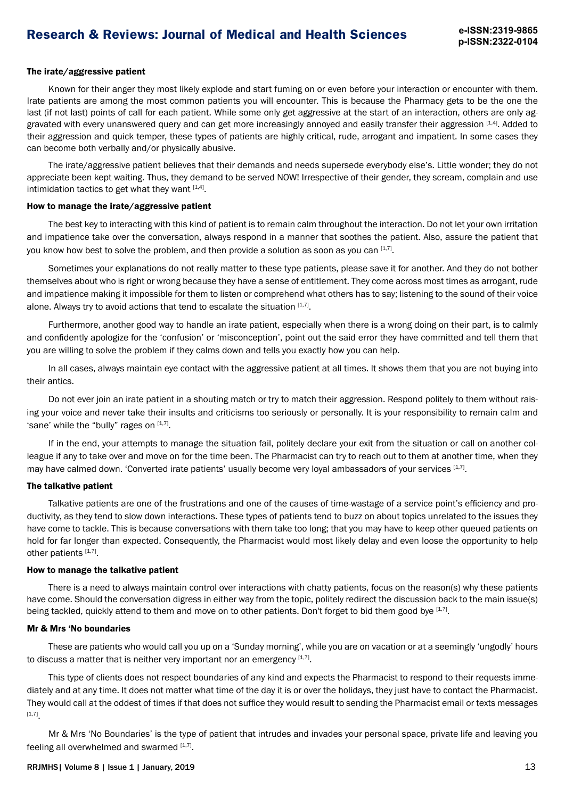#### The irate/aggressive patient

Known for their anger they most likely explode and start fuming on or even before your interaction or encounter with them. Irate patients are among the most common patients you will encounter. This is because the Pharmacy gets to be the one the last (if not last) points of call for each patient. While some only get aggressive at the start of an interaction, others are only aggravated with every unanswered query and can get more increasingly annoyed and easily transfer their aggression [1,4]. Added to their aggression and quick temper, these types of patients are highly critical, rude, arrogant and impatient. In some cases they can become both verbally and/or physically abusive.

The irate/aggressive patient believes that their demands and needs supersede everybody else's. Little wonder; they do not appreciate been kept waiting. Thus, they demand to be served NOW! Irrespective of their gender, they scream, complain and use intimidation tactics to get what they want  $[1,4]$ .

#### How to manage the irate/aggressive patient

The best key to interacting with this kind of patient is to remain calm throughout the interaction. Do not let your own irritation and impatience take over the conversation, always respond in a manner that soothes the patient. Also, assure the patient that you know how best to solve the problem, and then provide a solution as soon as you can  $[1,7]$ .

Sometimes your explanations do not really matter to these type patients, please save it for another. And they do not bother themselves about who is right or wrong because they have a sense of entitlement. They come across most times as arrogant, rude and impatience making it impossible for them to listen or comprehend what others has to say; listening to the sound of their voice alone. Always try to avoid actions that tend to escalate the situation  $[1,7]$ .

Furthermore, another good way to handle an irate patient, especially when there is a wrong doing on their part, is to calmly and confidently apologize for the 'confusion' or 'misconception', point out the said error they have committed and tell them that you are willing to solve the problem if they calms down and tells you exactly how you can help.

In all cases, always maintain eye contact with the aggressive patient at all times. It shows them that you are not buying into their antics.

Do not ever join an irate patient in a shouting match or try to match their aggression. Respond politely to them without raising your voice and never take their insults and criticisms too seriously or personally. It is your responsibility to remain calm and 'sane' while the "bully" rages on  $[1,7]$ .

If in the end, your attempts to manage the situation fail, politely declare your exit from the situation or call on another colleague if any to take over and move on for the time been. The Pharmacist can try to reach out to them at another time, when they may have calmed down. 'Converted irate patients' usually become very loyal ambassadors of your services [1,7].

#### The talkative patient

Talkative patients are one of the frustrations and one of the causes of time-wastage of a service point's efficiency and productivity, as they tend to slow down interactions. These types of patients tend to buzz on about topics unrelated to the issues they have come to tackle. This is because conversations with them take too long; that you may have to keep other queued patients on hold for far longer than expected. Consequently, the Pharmacist would most likely delay and even loose the opportunity to help other patients [1,7].

### How to manage the talkative patient

There is a need to always maintain control over interactions with chatty patients, focus on the reason(s) why these patients have come. Should the conversation digress in either way from the topic, politely redirect the discussion back to the main issue(s) being tackled, quickly attend to them and move on to other patients. Don't forget to bid them good bye [1,7].

#### Mr & Mrs 'No boundaries

These are patients who would call you up on a 'Sunday morning', while you are on vacation or at a seemingly 'ungodly' hours to discuss a matter that is neither very important nor an emergency  $[1,7]$ .

This type of clients does not respect boundaries of any kind and expects the Pharmacist to respond to their requests immediately and at any time. It does not matter what time of the day it is or over the holidays, they just have to contact the Pharmacist. They would call at the oddest of times if that does not suffice they would result to sending the Pharmacist email or texts messages [1,7].

Mr & Mrs 'No Boundaries' is the type of patient that intrudes and invades your personal space, private life and leaving you feeling all overwhelmed and swarmed  $[1,7]$ .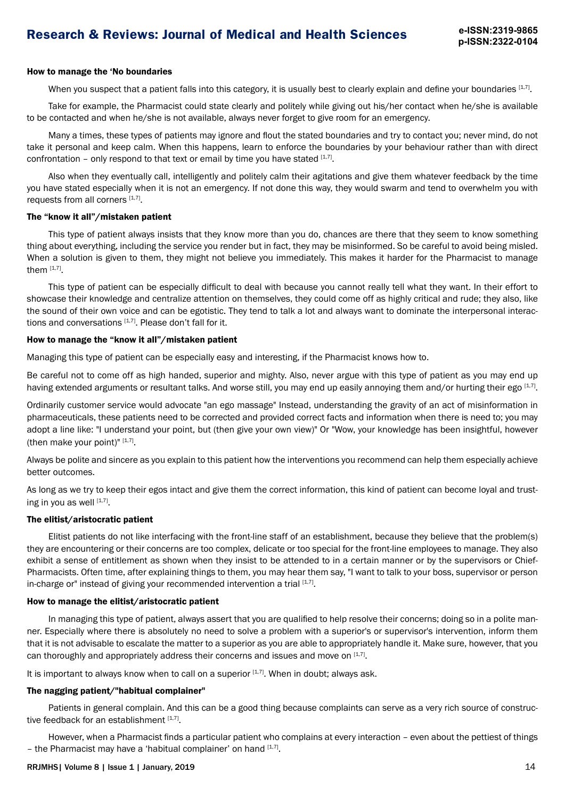# **Research & Reviews: Journal of Medical and Health Sciences e-ISSN:2319-9865**

#### How to manage the 'No boundaries

When you suspect that a patient falls into this category, it is usually best to clearly explain and define your boundaries [1,7].

Take for example, the Pharmacist could state clearly and politely while giving out his/her contact when he/she is available to be contacted and when he/she is not available, always never forget to give room for an emergency.

Many a times, these types of patients may ignore and flout the stated boundaries and try to contact you; never mind, do not take it personal and keep calm. When this happens, learn to enforce the boundaries by your behaviour rather than with direct confrontation – only respond to that text or email by time you have stated  $[1,7]$ .

Also when they eventually call, intelligently and politely calm their agitations and give them whatever feedback by the time you have stated especially when it is not an emergency. If not done this way, they would swarm and tend to overwhelm you with requests from all corners [1,7].

#### The "know it all"/mistaken patient

This type of patient always insists that they know more than you do, chances are there that they seem to know something thing about everything, including the service you render but in fact, they may be misinformed. So be careful to avoid being misled. When a solution is given to them, they might not believe you immediately. This makes it harder for the Pharmacist to manage them  $[1,7]$ .

This type of patient can be especially difficult to deal with because you cannot really tell what they want. In their effort to showcase their knowledge and centralize attention on themselves, they could come off as highly critical and rude; they also, like the sound of their own voice and can be egotistic. They tend to talk a lot and always want to dominate the interpersonal interactions and conversations  $[1,7]$ . Please don't fall for it.

#### How to manage the "know it all"/mistaken patient

Managing this type of patient can be especially easy and interesting, if the Pharmacist knows how to.

Be careful not to come off as high handed, superior and mighty. Also, never argue with this type of patient as you may end up having extended arguments or resultant talks. And worse still, you may end up easily annoying them and/or hurting their ego [1,7].

Ordinarily customer service would advocate "an ego massage" Instead, understanding the gravity of an act of misinformation in pharmaceuticals, these patients need to be corrected and provided correct facts and information when there is need to; you may adopt a line like: "I understand your point, but (then give your own view)" Or "Wow, your knowledge has been insightful, however (then make your point)"  $[1,7]$ .

Always be polite and sincere as you explain to this patient how the interventions you recommend can help them especially achieve better outcomes.

As long as we try to keep their egos intact and give them the correct information, this kind of patient can become loyal and trusting in you as well  $[1,7]$ .

#### The elitist/aristocratic patient

Elitist patients do not like interfacing with the front-line staff of an establishment, because they believe that the problem(s) they are encountering or their concerns are too complex, delicate or too special for the front-line employees to manage. They also exhibit a sense of entitlement as shown when they insist to be attended to in a certain manner or by the supervisors or Chief-Pharmacists. Often time, after explaining things to them, you may hear them say, "I want to talk to your boss, supervisor or person in-charge or" instead of giving your recommended intervention a trial  $[1,7]$ .

#### How to manage the elitist/aristocratic patient

In managing this type of patient, always assert that you are qualified to help resolve their concerns; doing so in a polite manner. Especially where there is absolutely no need to solve a problem with a superior's or supervisor's intervention, inform them that it is not advisable to escalate the matter to a superior as you are able to appropriately handle it. Make sure, however, that you can thoroughly and appropriately address their concerns and issues and move on [1,7].

It is important to always know when to call on a superior  $[1,7]$ . When in doubt; always ask.

#### The nagging patient/"habitual complainer"

Patients in general complain. And this can be a good thing because complaints can serve as a very rich source of constructive feedback for an establishment  $[1,7]$ .

However, when a Pharmacist finds a particular patient who complains at every interaction – even about the pettiest of things – the Pharmacist may have a 'habitual complainer' on hand  $[1,7]$ .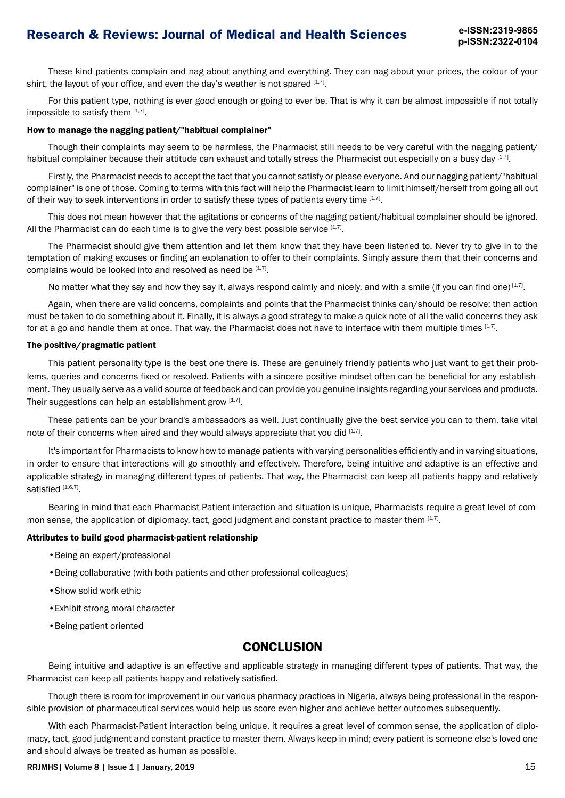# **Research & Reviews: Journal of Medical and Health Sciences e-ISSN:2319-9865**

These kind patients complain and nag about anything and everything. They can nag about your prices, the colour of your shirt, the layout of your office, and even the day's weather is not spared  $[1,7]$ .

For this patient type, nothing is ever good enough or going to ever be. That is why it can be almost impossible if not totally impossible to satisfy them  $[1,7]$ .

#### How to manage the nagging patient/"habitual complainer"

Though their complaints may seem to be harmless, the Pharmacist still needs to be very careful with the nagging patient/ habitual complainer because their attitude can exhaust and totally stress the Pharmacist out especially on a busy day [1,7].

Firstly, the Pharmacist needs to accept the fact that you cannot satisfy or please everyone. And our nagging patient/"habitual complainer" is one of those. Coming to terms with this fact will help the Pharmacist learn to limit himself/herself from going all out of their way to seek interventions in order to satisfy these types of patients every time [1,7].

This does not mean however that the agitations or concerns of the nagging patient/habitual complainer should be ignored. All the Pharmacist can do each time is to give the very best possible service  $[1,7]$ .

The Pharmacist should give them attention and let them know that they have been listened to. Never try to give in to the temptation of making excuses or finding an explanation to offer to their complaints. Simply assure them that their concerns and complains would be looked into and resolved as need be [1,7].

No matter what they say and how they say it, always respond calmly and nicely, and with a smile (if you can find one)  $[1,7]$ .

Again, when there are valid concerns, complaints and points that the Pharmacist thinks can/should be resolve; then action must be taken to do something about it. Finally, it is always a good strategy to make a quick note of all the valid concerns they ask for at a go and handle them at once. That way, the Pharmacist does not have to interface with them multiple times  $^{\rm [1,7]}$ .

#### The positive/pragmatic patient

This patient personality type is the best one there is. These are genuinely friendly patients who just want to get their problems, queries and concerns fixed or resolved. Patients with a sincere positive mindset often can be beneficial for any establishment. They usually serve as a valid source of feedback and can provide you genuine insights regarding your services and products. Their suggestions can help an establishment grow  $[1,7]$ .

These patients can be your brand's ambassadors as well. Just continually give the best service you can to them, take vital note of their concerns when aired and they would always appreciate that you did  $[1,7]$ .

It's important for Pharmacists to know how to manage patients with varying personalities efficiently and in varying situations, in order to ensure that interactions will go smoothly and effectively. Therefore, being intuitive and adaptive is an effective and applicable strategy in managing different types of patients. That way, the Pharmacist can keep all patients happy and relatively satisfied [1,6,7].

Bearing in mind that each Pharmacist-Patient interaction and situation is unique, Pharmacists require a great level of common sense, the application of diplomacy, tact, good judgment and constant practice to master them [1,7].

#### Attributes to build good pharmacist-patient relationship

- •Being an expert/professional
- •Being collaborative (with both patients and other professional colleagues)
- •Show solid work ethic
- •Exhibit strong moral character
- •Being patient oriented

### **CONCLUSION**

Being intuitive and adaptive is an effective and applicable strategy in managing different types of patients. That way, the Pharmacist can keep all patients happy and relatively satisfied.

Though there is room for improvement in our various pharmacy practices in Nigeria, always being professional in the responsible provision of pharmaceutical services would help us score even higher and achieve better outcomes subsequently.

With each Pharmacist-Patient interaction being unique, it requires a great level of common sense, the application of diplomacy, tact, good judgment and constant practice to master them. Always keep in mind; every patient is someone else's loved one and should always be treated as human as possible.